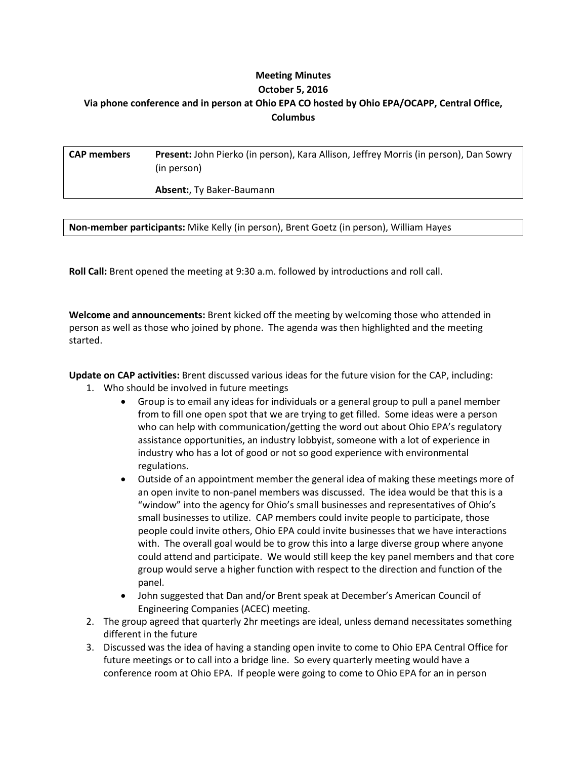## **Meeting Minutes October 5, 2016 Via phone conference and in person at Ohio EPA CO hosted by Ohio EPA/OCAPP, Central Office, Columbus**

| <b>CAP members</b> | Present: John Pierko (in person), Kara Allison, Jeffrey Morris (in person), Dan Sowry |
|--------------------|---------------------------------------------------------------------------------------|
|                    | (in person)                                                                           |

**Absent:**, Ty Baker-Baumann

**Non-member participants:** Mike Kelly (in person), Brent Goetz (in person), William Hayes

**Roll Call:** Brent opened the meeting at 9:30 a.m. followed by introductions and roll call.

**Welcome and announcements:** Brent kicked off the meeting by welcoming those who attended in person as well as those who joined by phone. The agenda was then highlighted and the meeting started.

**Update on CAP activities:** Brent discussed various ideas for the future vision for the CAP, including:

- 1. Who should be involved in future meetings
	- Group is to email any ideas for individuals or a general group to pull a panel member from to fill one open spot that we are trying to get filled. Some ideas were a person who can help with communication/getting the word out about Ohio EPA's regulatory assistance opportunities, an industry lobbyist, someone with a lot of experience in industry who has a lot of good or not so good experience with environmental regulations.
	- Outside of an appointment member the general idea of making these meetings more of an open invite to non-panel members was discussed. The idea would be that this is a "window" into the agency for Ohio's small businesses and representatives of Ohio's small businesses to utilize. CAP members could invite people to participate, those people could invite others, Ohio EPA could invite businesses that we have interactions with. The overall goal would be to grow this into a large diverse group where anyone could attend and participate. We would still keep the key panel members and that core group would serve a higher function with respect to the direction and function of the panel.
	- John suggested that Dan and/or Brent speak at December's American Council of Engineering Companies (ACEC) meeting.
- 2. The group agreed that quarterly 2hr meetings are ideal, unless demand necessitates something different in the future
- 3. Discussed was the idea of having a standing open invite to come to Ohio EPA Central Office for future meetings or to call into a bridge line. So every quarterly meeting would have a conference room at Ohio EPA. If people were going to come to Ohio EPA for an in person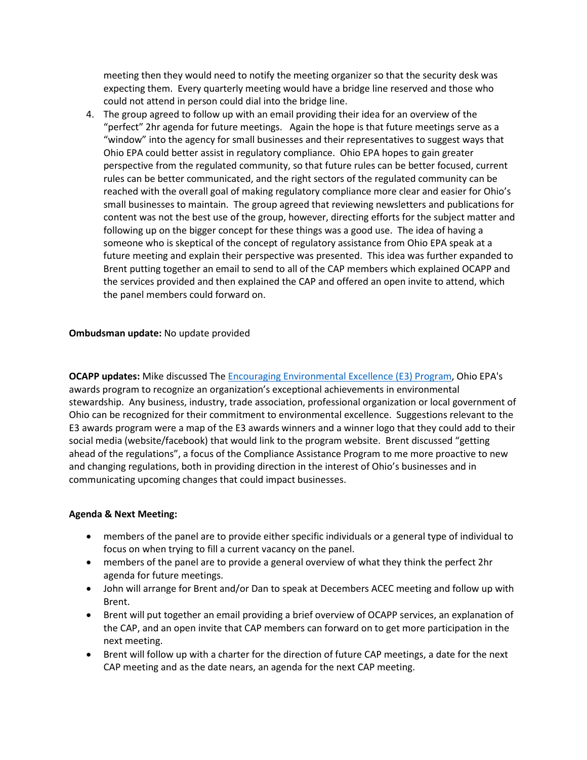meeting then they would need to notify the meeting organizer so that the security desk was expecting them. Every quarterly meeting would have a bridge line reserved and those who could not attend in person could dial into the bridge line.

4. The group agreed to follow up with an email providing their idea for an overview of the "perfect" 2hr agenda for future meetings. Again the hope is that future meetings serve as a "window" into the agency for small businesses and their representatives to suggest ways that Ohio EPA could better assist in regulatory compliance. Ohio EPA hopes to gain greater perspective from the regulated community, so that future rules can be better focused, current rules can be better communicated, and the right sectors of the regulated community can be reached with the overall goal of making regulatory compliance more clear and easier for Ohio's small businesses to maintain. The group agreed that reviewing newsletters and publications for content was not the best use of the group, however, directing efforts for the subject matter and following up on the bigger concept for these things was a good use. The idea of having a someone who is skeptical of the concept of regulatory assistance from Ohio EPA speak at a future meeting and explain their perspective was presented. This idea was further expanded to Brent putting together an email to send to all of the CAP members which explained OCAPP and the services provided and then explained the CAP and offered an open invite to attend, which the panel members could forward on.

## **Ombudsman update:** No update provided

**OCAPP updates:** Mike discussed The [Encouraging Environmental Excellence \(E3\) Program,](http://epa.ohio.gov/ocapp/ohioe3.aspx) Ohio EPA's awards program to recognize an organization's exceptional achievements in environmental stewardship. Any business, industry, trade association, professional organization or local government of Ohio can be recognized for their commitment to environmental excellence. Suggestions relevant to the E3 awards program were a map of the E3 awards winners and a winner logo that they could add to their social media (website/facebook) that would link to the program website. Brent discussed "getting ahead of the regulations", a focus of the Compliance Assistance Program to me more proactive to new and changing regulations, both in providing direction in the interest of Ohio's businesses and in communicating upcoming changes that could impact businesses.

## **Agenda & Next Meeting:**

- members of the panel are to provide either specific individuals or a general type of individual to focus on when trying to fill a current vacancy on the panel.
- members of the panel are to provide a general overview of what they think the perfect 2hr agenda for future meetings.
- John will arrange for Brent and/or Dan to speak at Decembers ACEC meeting and follow up with Brent.
- Brent will put together an email providing a brief overview of OCAPP services, an explanation of the CAP, and an open invite that CAP members can forward on to get more participation in the next meeting.
- Brent will follow up with a charter for the direction of future CAP meetings, a date for the next CAP meeting and as the date nears, an agenda for the next CAP meeting.